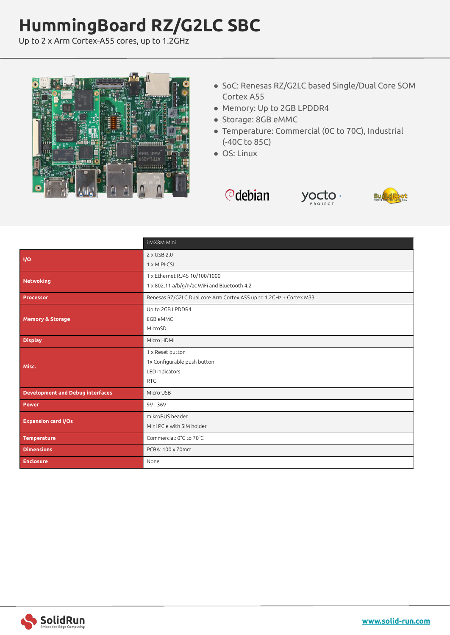## **HummingBoard RZ/G2LC SBC**

Up to 2 x Arm Cortex-A55 cores, up to 1.2GHz



- SoC: Renesas RZ/G2LC based Single/Dual Core SOM Cortex A55
- Memory: Up to 2GB LPDDR4
- Storage: 8GB eMMC
- Temperature: Commercial (0C to 70C), Industrial (-40C to 85C)
- OS: Linux

*<u></u>*debian





|                                         | i.MX8M Mini                                                        |
|-----------------------------------------|--------------------------------------------------------------------|
| I/O                                     | 2 x USB 2.0                                                        |
|                                         | 1 x MIPI-CSI                                                       |
| <b>Netwoking</b>                        | 1 x Ethernet RJ45 10/100/1000                                      |
|                                         | 1 x 802.11 a/b/g/n/ac WiFi and Bluetooth 4.2                       |
| Processor                               | Renesas RZ/G2LC Dual core Arm Cortex A55 up to 1.2GHz + Cortex M33 |
| <b>Memory &amp; Storage</b>             | Up to 2GB LPDDR4                                                   |
|                                         | 8GB eMMC                                                           |
|                                         | MicroSD                                                            |
| <b>Display</b>                          | Micro HDMI                                                         |
| Misc.                                   | 1 x Reset button                                                   |
|                                         | 1x Configurable push button                                        |
|                                         | LED indicators                                                     |
|                                         | <b>RTC</b>                                                         |
| <b>Development and Debug interfaces</b> | Micro USB                                                          |
| <b>Power</b>                            | 9V - 36V                                                           |
| <b>Expansion card I/Os</b>              | mikroBUS header                                                    |
|                                         | Mini PCIe with SIM holder                                          |
| <b>Temperature</b>                      | Commercial: 0°C to 70°C                                            |
| <b>Dimensions</b>                       | PCBA: 100 x 70mm                                                   |
| <b>Enclosure</b>                        | None                                                               |